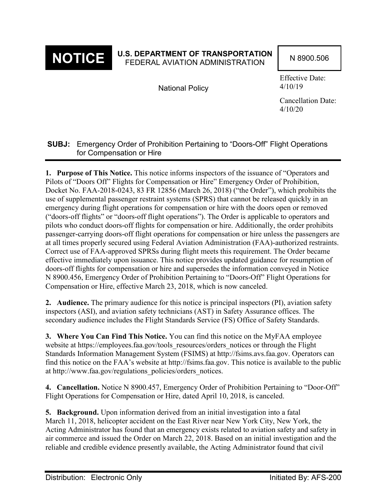

# **NOTICE** U.S. DEPARTMENT OF TRANSPORTATION N 8900.506

National Policy

Effective Date: 4/10/19

Cancellation Date: 4/10/20

## **SUBJ:** Emergency Order of Prohibition Pertaining to "Doors-Off" Flight Operations for Compensation or Hire

**1. Purpose of This Notice.** This notice informs inspectors of the issuance of "Operators and Pilots of "Doors Off" Flights for Compensation or Hire" Emergency Order of Prohibition, Docket No. FAA-2018-0243, 83 FR 12856 (March 26, 2018) ("the Order"), which prohibits the use of supplemental passenger restraint systems (SPRS) that cannot be released quickly in an emergency during flight operations for compensation or hire with the doors open or removed ("doors-off flights" or "doors-off flight operations"). The Order is applicable to operators and pilots who conduct doors-off flights for compensation or hire. Additionally, the order prohibits passenger-carrying doors-off flight operations for compensation or hire unless the passengers are at all times properly secured using Federal Aviation Administration (FAA)-authorized restraints. Correct use of FAA-approved SPRSs during flight meets this requirement. The Order became effective immediately upon issuance. This notice provides updated guidance for resumption of doors-off flights for compensation or hire and supersedes the information conveyed in Notice N 8900.456, Emergency Order of Prohibition Pertaining to "Doors-Off" Flight Operations for Compensation or Hire, effective March 23, 2018, which is now canceled.

**2. Audience.** The primary audience for this notice is principal inspectors (PI), aviation safety inspectors (ASI), and aviation safety technicians (AST) in Safety Assurance offices. The secondary audience includes the Flight Standards Service (FS) Office of Safety Standards.

**3. Where You Can Find This Notice.** You can find this notice on the MyFAA employee website at https://employees.faa.gov/tools\_resources/orders\_notices or through the Flight Standards Information Management System (FSIMS) at http://fsims.avs.faa.gov. Operators can find this notice on the FAA's website at http://fsims.faa.gov. This notice is available to the public at http://www.faa.gov/regulations\_policies/orders\_notices.

**4. Cancellation.** Notice N 8900.457, Emergency Order of Prohibition Pertaining to "Door-Off" Flight Operations for Compensation or Hire, dated April 10, 2018, is canceled.

**5. Background.** Upon information derived from an initial investigation into a fatal March 11, 2018, helicopter accident on the East River near New York City, New York, the Acting Administrator has found that an emergency exists related to aviation safety and safety in air commerce and issued the Order on March 22, 2018. Based on an initial investigation and the reliable and credible evidence presently available, the Acting Administrator found that civil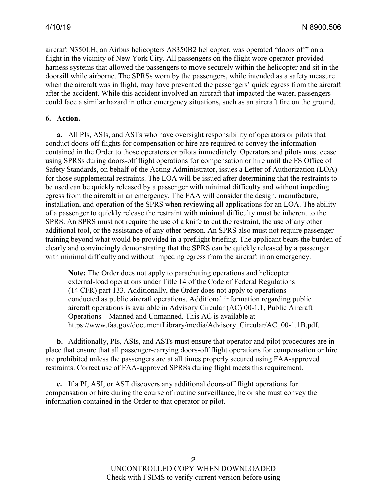aircraft N350LH, an Airbus helicopters AS350B2 helicopter, was operated "doors off" on a flight in the vicinity of New York City. All passengers on the flight wore operator-provided harness systems that allowed the passengers to move securely within the helicopter and sit in the doorsill while airborne. The SPRSs worn by the passengers, while intended as a safety measure when the aircraft was in flight, may have prevented the passengers' quick egress from the aircraft after the accident. While this accident involved an aircraft that impacted the water, passengers could face a similar hazard in other emergency situations, such as an aircraft fire on the ground.

#### **6. Action.**

**a.** All PIs, ASIs, and ASTs who have oversight responsibility of operators or pilots that conduct doors-off flights for compensation or hire are required to convey the information contained in the Order to those operators or pilots immediately. Operators and pilots must cease using SPRSs during doors-off flight operations for compensation or hire until the FS Office of Safety Standards, on behalf of the Acting Administrator, issues a Letter of Authorization (LOA) for those supplemental restraints. The LOA will be issued after determining that the restraints to be used can be quickly released by a passenger with minimal difficulty and without impeding egress from the aircraft in an emergency. The FAA will consider the design, manufacture, installation, and operation of the SPRS when reviewing all applications for an LOA. The ability of a passenger to quickly release the restraint with minimal difficulty must be inherent to the SPRS. An SPRS must not require the use of a knife to cut the restraint, the use of any other additional tool, or the assistance of any other person. An SPRS also must not require passenger training beyond what would be provided in a preflight briefing. The applicant bears the burden of clearly and convincingly demonstrating that the SPRS can be quickly released by a passenger with minimal difficulty and without impeding egress from the aircraft in an emergency.

**Note:** The Order does not apply to parachuting operations and helicopter external-load operations under Title 14 of the Code of Federal Regulations (14 CFR) part 133. Additionally, the Order does not apply to operations conducted as public aircraft operations. Additional information regarding public aircraft operations is available in Advisory Circular (AC) 00-1.1, Public Aircraft Operations—Manned and Unmanned. This AC is available at https://www.faa.gov/documentLibrary/media/Advisory\_Circular/AC\_00-1.1B.pdf.

**b.** Additionally, PIs, ASIs, and ASTs must ensure that operator and pilot procedures are in place that ensure that all passenger-carrying doors-off flight operations for compensation or hire are prohibited unless the passengers are at all times properly secured using FAA-approved restraints. Correct use of FAA-approved SPRSs during flight meets this requirement.

**c.** If a PI, ASI, or AST discovers any additional doors-off flight operations for compensation or hire during the course of routine surveillance, he or she must convey the information contained in the Order to that operator or pilot.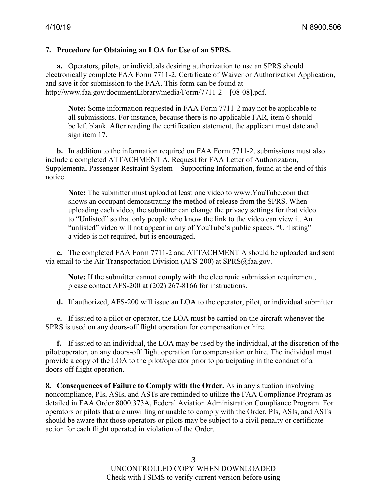#### **7. Procedure for Obtaining an LOA for Use of an SPRS.**

**a.** Operators, pilots, or individuals desiring authorization to use an SPRS should electronically complete FAA Form 7711-2, Certificate of Waiver or Authorization Application, and save it for submission to the FAA. This form can be found at http://www.faa.gov/documentLibrary/media/Form/7711-2\_\_[08-08].pdf.

**Note:** Some information requested in FAA Form 7711-2 may not be applicable to all submissions. For instance, because there is no applicable FAR, item 6 should be left blank. After reading the certification statement, the applicant must date and sign item 17.

**b.** In addition to the information required on FAA Form 7711-2, submissions must also include a completed ATTACHMENT A, Request for FAA Letter of Authorization, Supplemental Passenger Restraint System—Supporting Information, found at the end of this notice.

**Note:** The submitter must upload at least one video to www.YouTube.com that shows an occupant demonstrating the method of release from the SPRS. When uploading each video, the submitter can change the privacy settings for that video to "Unlisted" so that only people who know the link to the video can view it. An "unlisted" video will not appear in any of YouTube's public spaces. "Unlisting" a video is not required, but is encouraged.

**c.** The completed FAA Form 7711-2 and ATTACHMENT A should be uploaded and sent via email to the Air Transportation Division (AFS-200) at SPRS@faa.gov.

**Note:** If the submitter cannot comply with the electronic submission requirement, please contact AFS-200 at (202) 267-8166 for instructions.

**d.** If authorized, AFS-200 will issue an LOA to the operator, pilot, or individual submitter.

**e.** If issued to a pilot or operator, the LOA must be carried on the aircraft whenever the SPRS is used on any doors-off flight operation for compensation or hire.

**f.** If issued to an individual, the LOA may be used by the individual, at the discretion of the pilot/operator, on any doors-off flight operation for compensation or hire. The individual must provide a copy of the LOA to the pilot/operator prior to participating in the conduct of a doors-off flight operation.

**8. Consequences of Failure to Comply with the Order.** As in any situation involving noncompliance, PIs, ASIs, and ASTs are reminded to utilize the FAA Compliance Program as detailed in FAA Order 8000.373A, Federal Aviation Administration Compliance Program. For operators or pilots that are unwilling or unable to comply with the Order, PIs, ASIs, and ASTs should be aware that those operators or pilots may be subject to a civil penalty or certificate action for each flight operated in violation of the Order.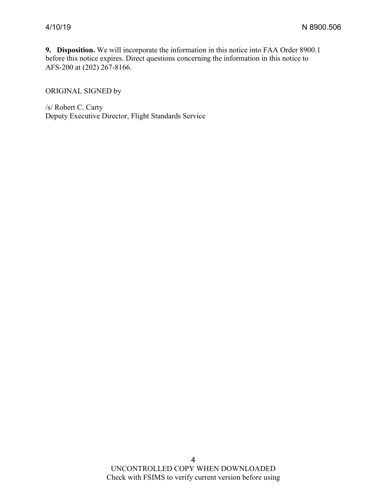**9. Disposition.** We will incorporate the information in this notice into FAA Order 8900.1 before this notice expires. Direct questions concerning the information in this notice to AFS-200 at (202) 267-8166.

ORIGINAL SIGNED by

/s/ Robert C. Carty Deputy Executive Director, Flight Standards Service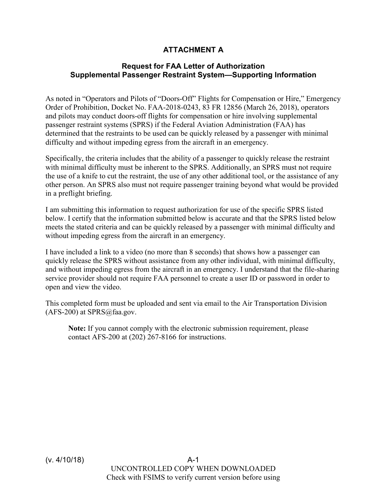## **ATTACHMENT A**

### **Request for FAA Letter of Authorization Supplemental Passenger Restraint System—Supporting Information**

As noted in "Operators and Pilots of "Doors-Off" Flights for Compensation or Hire," Emergency Order of Prohibition, Docket No. FAA-2018-0243, 83 FR 12856 (March 26, 2018), operators and pilots may conduct doors-off flights for compensation or hire involving supplemental passenger restraint systems (SPRS) if the Federal Aviation Administration (FAA) has determined that the restraints to be used can be quickly released by a passenger with minimal difficulty and without impeding egress from the aircraft in an emergency.

Specifically, the criteria includes that the ability of a passenger to quickly release the restraint with minimal difficulty must be inherent to the SPRS. Additionally, an SPRS must not require the use of a knife to cut the restraint, the use of any other additional tool, or the assistance of any other person. An SPRS also must not require passenger training beyond what would be provided in a preflight briefing.

I am submitting this information to request authorization for use of the specific SPRS listed below. I certify that the information submitted below is accurate and that the SPRS listed below meets the stated criteria and can be quickly released by a passenger with minimal difficulty and without impeding egress from the aircraft in an emergency.

I have included a link to a video (no more than 8 seconds) that shows how a passenger can quickly release the SPRS without assistance from any other individual, with minimal difficulty, and without impeding egress from the aircraft in an emergency. I understand that the file-sharing service provider should not require FAA personnel to create a user ID or password in order to open and view the video.

This completed form must be uploaded and sent via email to the Air Transportation Division (AFS-200) at SPRS@faa.gov.

**Note:** If you cannot comply with the electronic submission requirement, please contact AFS-200 at (202) 267-8166 for instructions.